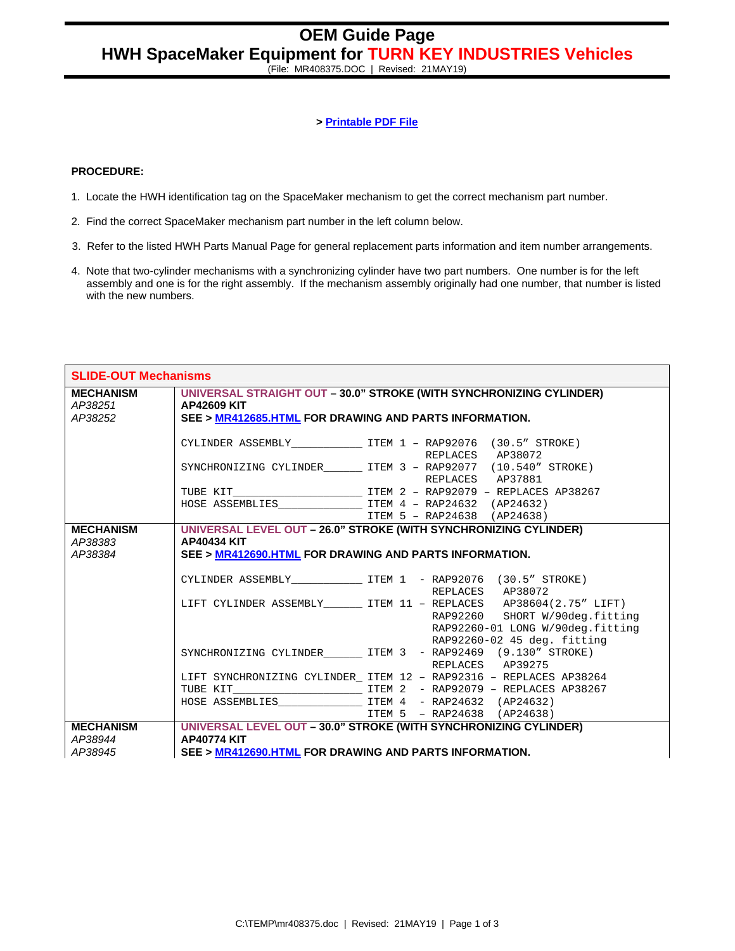(File: MR408375.DOC | Revised: 21MAY19)

## **> Printable PDF File**

## **PROCEDURE:**

- 1. Locate the HWH identification tag on the SpaceMaker mechanism to get the correct mechanism part number.
- 2. Find the correct SpaceMaker mechanism part number in the left column below.
- 3. Refer to the listed HWH Parts Manual Page for general replacement parts information and item number arrangements.
- 4. Note that two-cylinder mechanisms with a synchronizing cylinder have two part numbers. One number is for the left assembly and one is for the right assembly. If the mechanism assembly originally had one number, that number is listed with the new numbers.

| <b>SLIDE-OUT Mechanisms</b>            |                                                                                                                                                     |                                                                                                                                                                             |  |
|----------------------------------------|-----------------------------------------------------------------------------------------------------------------------------------------------------|-----------------------------------------------------------------------------------------------------------------------------------------------------------------------------|--|
| <b>MECHANISM</b><br>AP38251<br>AP38252 | UNIVERSAL STRAIGHT OUT - 30.0" STROKE (WITH SYNCHRONIZING CYLINDER)<br><b>AP42609 KIT</b><br>SEE > MR412685.HTML FOR DRAWING AND PARTS INFORMATION. |                                                                                                                                                                             |  |
|                                        |                                                                                                                                                     | CYLINDER ASSEMBLY ________________ ITEM 1 - RAP92076 (30.5" STROKE)<br>REPLACES AP38072                                                                                     |  |
|                                        |                                                                                                                                                     | SYNCHRONIZING CYLINDER_________ ITEM 3 - RAP92077 (10.540" STROKE)<br>REPLACES AP37881                                                                                      |  |
|                                        |                                                                                                                                                     |                                                                                                                                                                             |  |
|                                        |                                                                                                                                                     | ITEM 5 - RAP24638 (AP24638)                                                                                                                                                 |  |
| <b>MECHANISM</b><br>AP38383<br>AP38384 | UNIVERSAL LEVEL OUT - 26.0" STROKE (WITH SYNCHRONIZING CYLINDER)<br><b>AP40434 KIT</b><br>SEE > MR412690.HTML FOR DRAWING AND PARTS INFORMATION.    |                                                                                                                                                                             |  |
|                                        |                                                                                                                                                     | CYLINDER ASSEMBLY _______________ ITEM 1 - RAP92076 (30.5" STROKE)<br>REPLACES AP38072                                                                                      |  |
|                                        |                                                                                                                                                     | LIFT CYLINDER ASSEMBLY_________ ITEM 11 - REPLACES AP38604(2.75" LIFT)<br>RAP92260 SHORT W/90deg.fitting<br>RAP92260-01 LONG W/90deg.fitting<br>RAP92260-02 45 deg. fitting |  |
|                                        |                                                                                                                                                     | SYNCHRONIZING CYLINDER ITEM 3 - RAP92469 (9.130" STROKE)<br>REPLACES AP39275                                                                                                |  |
|                                        |                                                                                                                                                     | LIFT SYNCHRONIZING CYLINDER_ ITEM 12 - RAP92316 - REPLACES AP38264                                                                                                          |  |
|                                        |                                                                                                                                                     | ITEM 5 - RAP24638 (AP24638)                                                                                                                                                 |  |
| <b>MECHANISM</b><br>AP38944<br>AP38945 | <b>AP40774 KIT</b><br>SEE > MR412690.HTML FOR DRAWING AND PARTS INFORMATION.                                                                        | UNIVERSAL LEVEL OUT - 30.0" STROKE (WITH SYNCHRONIZING CYLINDER)                                                                                                            |  |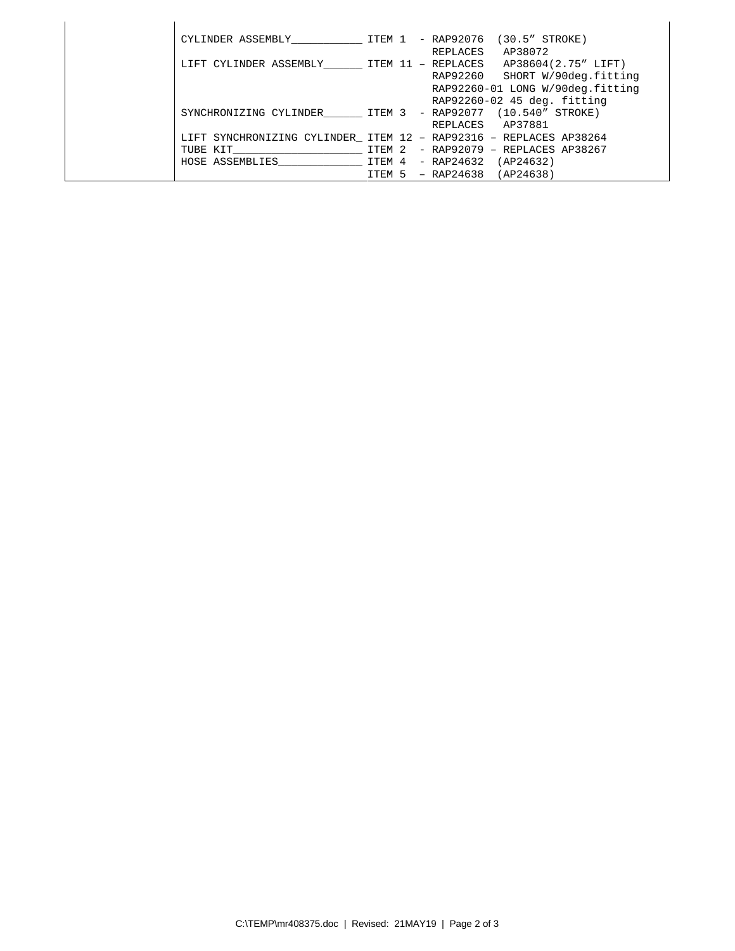| CYLINDER ASSEMBLY TTEM 1                                          |        | - RAP92076<br>$(30.5"$ STROKE)    |
|-------------------------------------------------------------------|--------|-----------------------------------|
|                                                                   |        | AP38072<br>REPLACES               |
| LIFT CYLINDER ASSEMBLY TTEM 11 - REPLACES                         |        | AP38604(2.75" LIFT)               |
|                                                                   |        | RAP92260 SHORT W/90deg.fitting    |
|                                                                   |        | RAP92260-01 LONG W/90deg.fitting  |
|                                                                   |        | RAP92260-02 45 deg. fitting       |
| SYNCHRONIZING CYLINDER TTEM 3                                     |        | - RAP92077 (10.540" STROKE)       |
|                                                                   |        | REPLACES AP37881                  |
| LIFT SYNCHRONIZING CYLINDER ITEM 12 - RAP92316 - REPLACES AP38264 |        |                                   |
| TUBE KIT                                                          | TTEM 2 | $-$ RAP92079 $-$ REPLACES AP38267 |
| HOSE ASSEMBLIES                                                   |        | ITEM 4 - RAP24632<br>(AP24632)    |
|                                                                   |        | (AP24638)<br>ITEM 5 - RAP24638    |